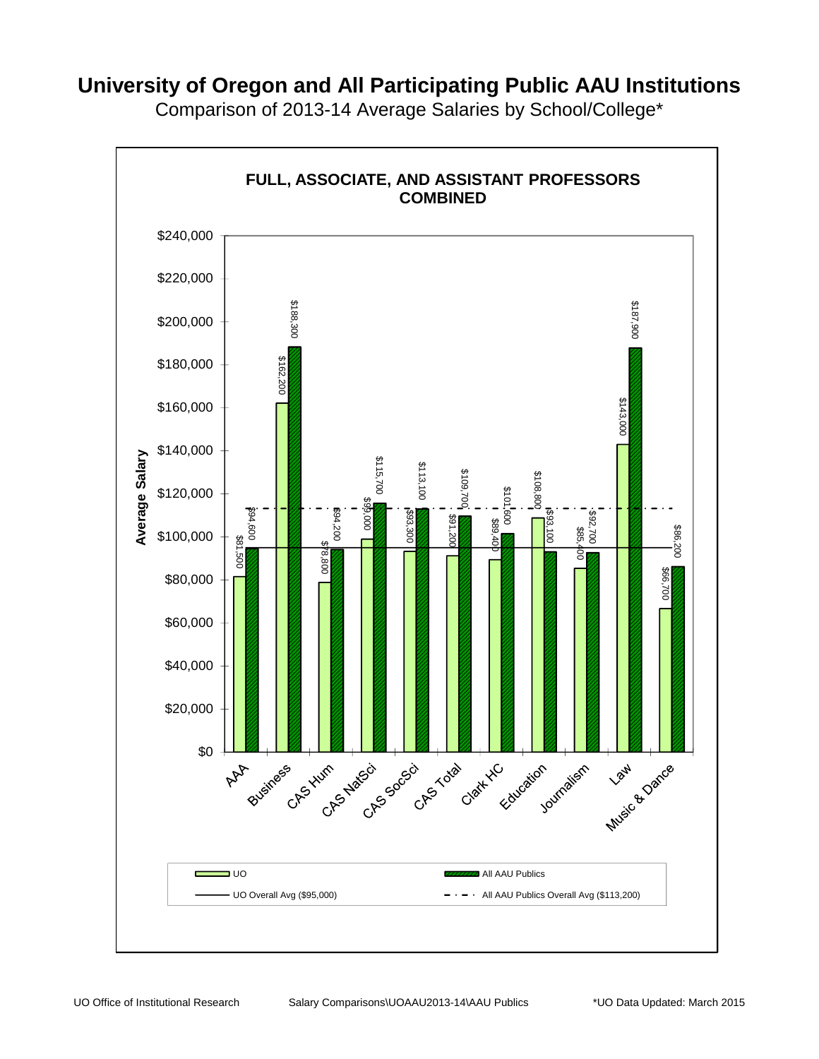**FULL, ASSOCIATE, AND ASSISTANT PROFESSORS COMBINED** \$240,000 \$220,000  $\begin{array}{|c|c|} \hline \text{3000} & \text{3015} & \text{302.2018} \ \hline \text{3000} & \text{3015} & \text{302.2018} \ \hline \text{3015} & \text{302.201} & \text{3115} \ \hline \text{315} & \text{325} & \text{335} & \text{345} \ \hline \text{315} & \text{325} & \text{335} & \text{345} \ \hline \text{315} & \text{325} & \text{335} & \text{345} \ \hline$ \$200,000 \$162,200 \$180,000 \$143,000 \$160,000 \$140,000 Average Salary **Average Salary** \$108,800 \$120,000 \$99,000 \$94,600<br>\$94,600<br>\$81,500 \$93,300 \$92,700 **\$**<br>\$85,400 \$91,200 \$89,400 \$86,200 \$100,000 \$78,800 \$66,700 \$80,000 \$60,000 \$40,000 \$20,000 Music Be Dation \$0 Electric Joy Journalism AAA Business Chorchator Chococo Chorchat KC ■ UO **All A**ll AAU Publics UO Overall Avg (\$95,000)  $- \cdot - \cdot$  All AAU Publics Overall Avg (\$113,200)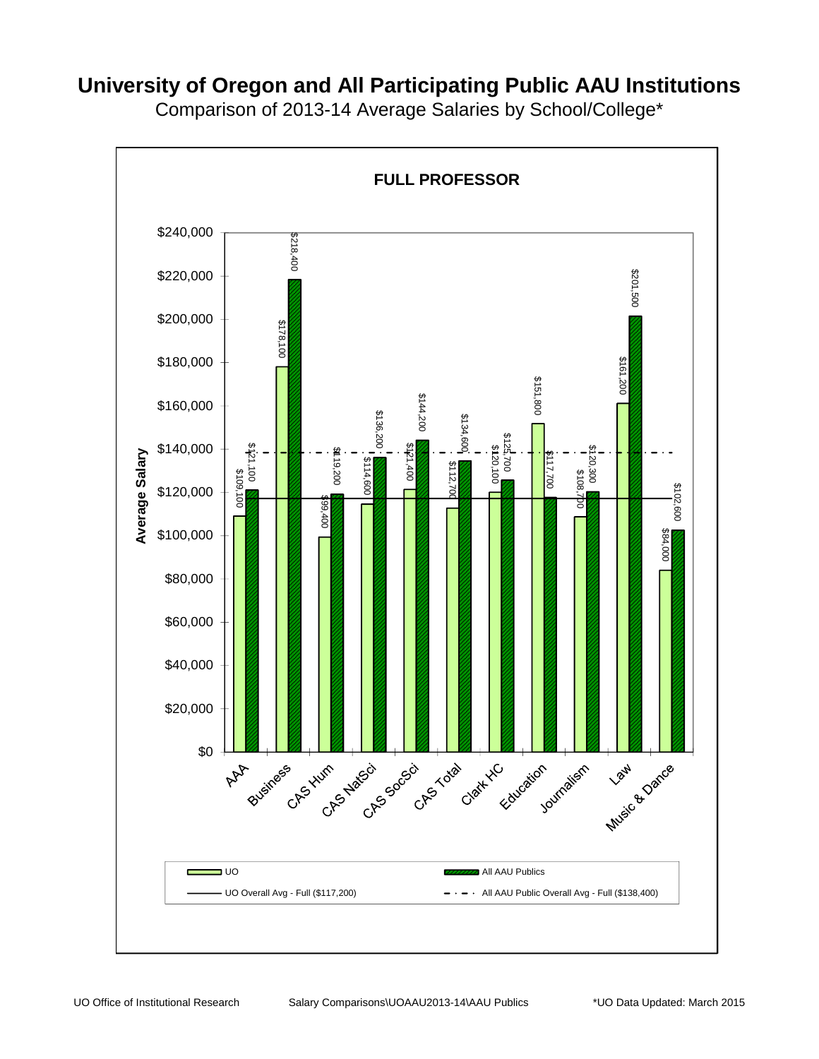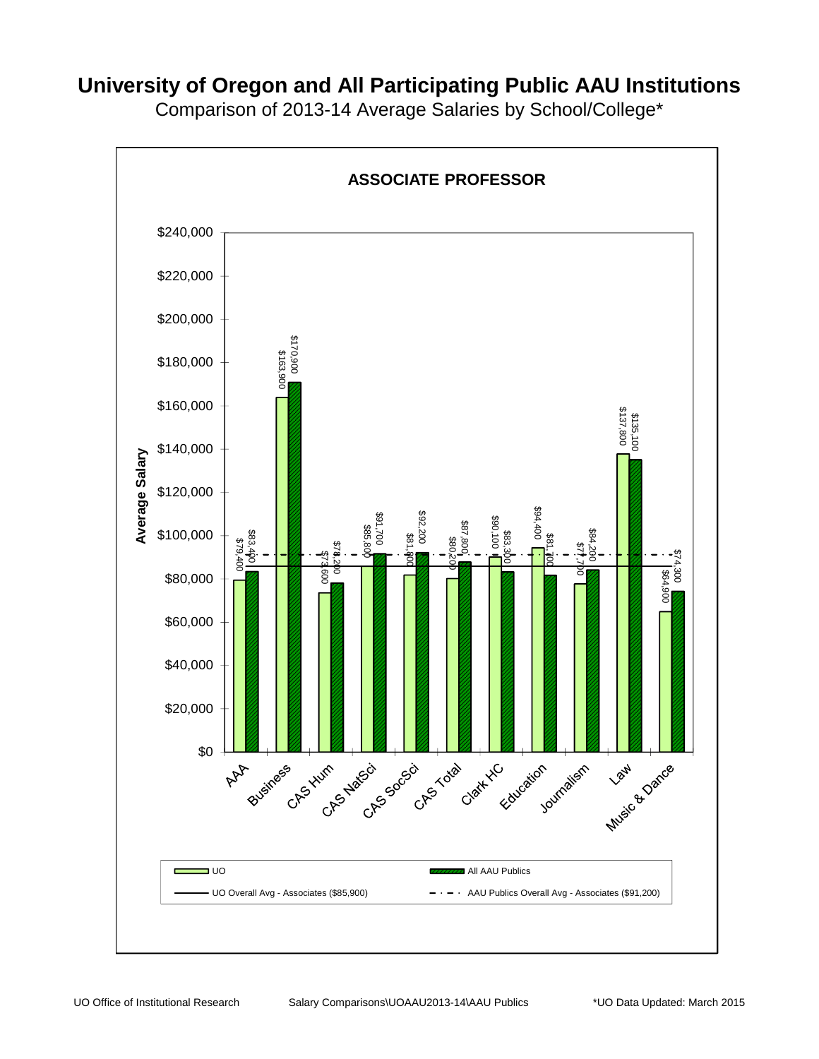